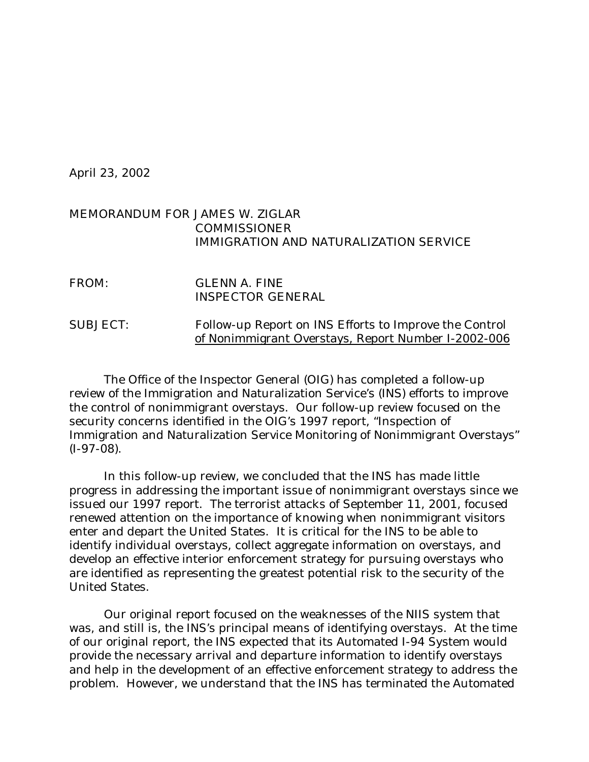April 23, 2002

## MEMORANDUM FOR JAMES W. ZIGLAR COMMISSIONER IMMIGRATION AND NATURALIZATION SERVICE

| FROM:           | GLENN A. FINE<br><b>INSPECTOR GENERAL</b>                                                                     |
|-----------------|---------------------------------------------------------------------------------------------------------------|
| <b>SUBJECT:</b> | Follow-up Report on INS Efforts to Improve the Control<br>of Nonimmigrant Overstays, Report Number I-2002-006 |

The Office of the Inspector General (OIG) has completed a follow-up review of the Immigration and Naturalization Service's (INS) efforts to improve the control of nonimmigrant overstays. Our follow-up review focused on the security concerns identified in the OIG's 1997 report, "Inspection of Immigration and Naturalization Service Monitoring of Nonimmigrant Overstays" (I-97-08).

In this follow-up review, we concluded that the INS has made little progress in addressing the important issue of nonimmigrant overstays since we issued our 1997 report. The terrorist attacks of September 11, 2001, focused renewed attention on the importance of knowing when nonimmigrant visitors enter and depart the United States. It is critical for the INS to be able to identify individual overstays, collect aggregate information on overstays, and develop an effective interior enforcement strategy for pursuing overstays who are identified as representing the greatest potential risk to the security of the United States.

Our original report focused on the weaknesses of the NIIS system that was, and still is, the INS's principal means of identifying overstays. At the time of our original report, the INS expected that its Automated I-94 System would provide the necessary arrival and departure information to identify overstays and help in the development of an effective enforcement strategy to address the problem. However, we understand that the INS has terminated the Automated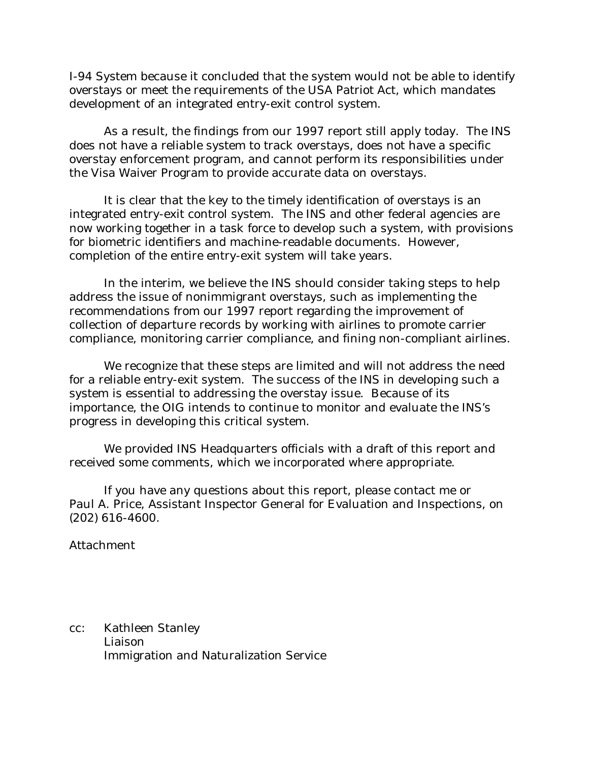I-94 System because it concluded that the system would not be able to identify overstays or meet the requirements of the USA Patriot Act, which mandates development of an integrated entry-exit control system.

As a result, the findings from our 1997 report still apply today. The INS does not have a reliable system to track overstays, does not have a specific overstay enforcement program, and cannot perform its responsibilities under the Visa Waiver Program to provide accurate data on overstays.

It is clear that the key to the timely identification of overstays is an integrated entry-exit control system. The INS and other federal agencies are now working together in a task force to develop such a system, with provisions for biometric identifiers and machine-readable documents. However, completion of the entire entry-exit system will take years.

In the interim, we believe the INS should consider taking steps to help address the issue of nonimmigrant overstays, such as implementing the recommendations from our 1997 report regarding the improvement of collection of departure records by working with airlines to promote carrier compliance, monitoring carrier compliance, and fining non-compliant airlines.

We recognize that these steps are limited and will not address the need for a reliable entry-exit system. The success of the INS in developing such a system is essential to addressing the overstay issue. Because of its importance, the OIG intends to continue to monitor and evaluate the INS's progress in developing this critical system.

We provided INS Headquarters officials with a draft of this report and received some comments, which we incorporated where appropriate.

If you have any questions about this report, please contact me or Paul A. Price, Assistant Inspector General for Evaluation and Inspections, on (202) 616-4600.

Attachment

cc: Kathleen Stanley Liaison Immigration and Naturalization Service